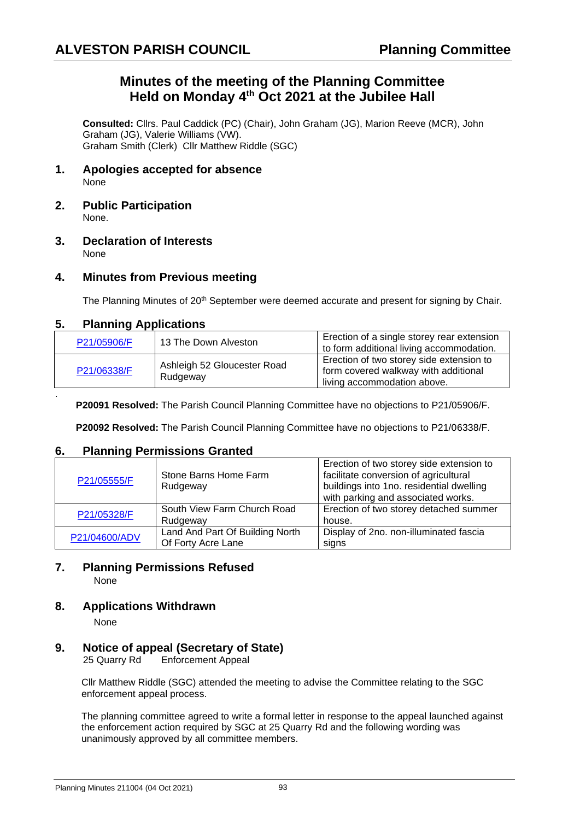## **Minutes of the meeting of the Planning Committee Held on Monday 4 th Oct 2021 at the Jubilee Hall**

**Consulted:** Cllrs. Paul Caddick (PC) (Chair), John Graham (JG), Marion Reeve (MCR), John Graham (JG), Valerie Williams (VW). Graham Smith (Clerk) Cllr Matthew Riddle (SGC)

- **1. Apologies accepted for absence** None
- **2. Public Participation** None.
- **3. Declaration of Interests** None

### **4. Minutes from Previous meeting**

The Planning Minutes of 20<sup>th</sup> September were deemed accurate and present for signing by Chair.

### **5. Planning Applications**

| P21/05906/F | 13 The Down Alveston                    | Erection of a single storey rear extension<br>to form additional living accommodation.                          |
|-------------|-----------------------------------------|-----------------------------------------------------------------------------------------------------------------|
| P21/06338/F | Ashleigh 52 Gloucester Road<br>Rudgeway | Erection of two storey side extension to<br>form covered walkway with additional<br>living accommodation above. |

**P20091 Resolved:** The Parish Council Planning Committee have no objections to P21/05906/F.

**P20092 Resolved:** The Parish Council Planning Committee have no objections to P21/06338/F.

### **6. Planning Permissions Granted**

| P21/05555/F   | Stone Barns Home Farm<br>Rudgeway | Erection of two storey side extension to<br>facilitate conversion of agricultural<br>buildings into 1no. residential dwelling<br>with parking and associated works. |
|---------------|-----------------------------------|---------------------------------------------------------------------------------------------------------------------------------------------------------------------|
| P21/05328/F   | South View Farm Church Road       | Erection of two storey detached summer                                                                                                                              |
|               | Rudgeway                          | house.                                                                                                                                                              |
| P21/04600/ADV | Land And Part Of Building North   | Display of 2no. non-illuminated fascia                                                                                                                              |
|               | Of Forty Acre Lane                | signs                                                                                                                                                               |

# **7. Planning Permissions Refused**

None

.

### **8. Applications Withdrawn**

None

# **9. Notice of appeal (Secretary of State)**<br>25 Quarry Rd Enforcement Appeal

**Enforcement Appeal** 

Cllr Matthew Riddle (SGC) attended the meeting to advise the Committee relating to the SGC enforcement appeal process.

The planning committee agreed to write a formal letter in response to the appeal launched against the enforcement action required by SGC at 25 Quarry Rd and the following wording was unanimously approved by all committee members.